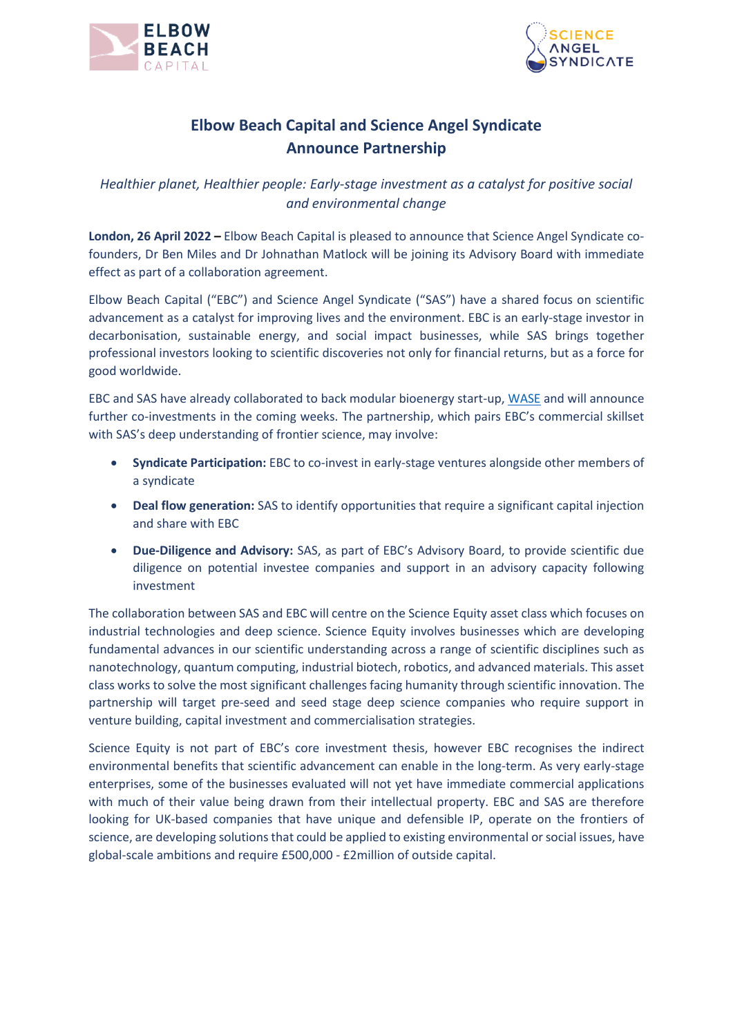



# **Elbow Beach Capital and Science Angel Syndicate Announce Partnership**

*Healthier planet, Healthier people: Early-stage investment as a catalyst for positive social and environmental change*

**London, 26 April 2022 –** Elbow Beach Capital is pleased to announce that Science Angel Syndicate cofounders, Dr Ben Miles and Dr Johnathan Matlock will be joining its Advisory Board with immediate effect as part of a collaboration agreement.

Elbow Beach Capital ("EBC") and Science Angel Syndicate ("SAS") have a shared focus on scientific advancement as a catalyst for improving lives and the environment. EBC is an early-stage investor in decarbonisation, sustainable energy, and social impact businesses, while SAS brings together professional investors looking to scientific discoveries not only for financial returns, but as a force for good worldwide.

EBC and SAS have already collaborated to back modular bioenergy start-up[, WASE](https://wase.co.uk/) and will announce further co-investments in the coming weeks. The partnership, which pairs EBC's commercial skillset with SAS's deep understanding of frontier science, may involve:

- **Syndicate Participation:** EBC to co-invest in early-stage ventures alongside other members of a syndicate
- **Deal flow generation:** SAS to identify opportunities that require a significant capital injection and share with EBC
- **Due-Diligence and Advisory:** SAS, as part of EBC's Advisory Board, to provide scientific due diligence on potential investee companies and support in an advisory capacity following investment

The collaboration between SAS and EBC will centre on the Science Equity asset class which focuses on industrial technologies and deep science. Science Equity involves businesses which are developing fundamental advances in our scientific understanding across a range of scientific disciplines such as nanotechnology, quantum computing, industrial biotech, robotics, and advanced materials. This asset class works to solve the most significant challenges facing humanity through scientific innovation. The partnership will target pre-seed and seed stage deep science companies who require support in venture building, capital investment and commercialisation strategies.

Science Equity is not part of EBC's core investment thesis, however EBC recognises the indirect environmental benefits that scientific advancement can enable in the long-term. As very early-stage enterprises, some of the businesses evaluated will not yet have immediate commercial applications with much of their value being drawn from their intellectual property. EBC and SAS are therefore looking for UK-based companies that have unique and defensible IP, operate on the frontiers of science, are developing solutions that could be applied to existing environmental or social issues, have global-scale ambitions and require £500,000 - £2million of outside capital.